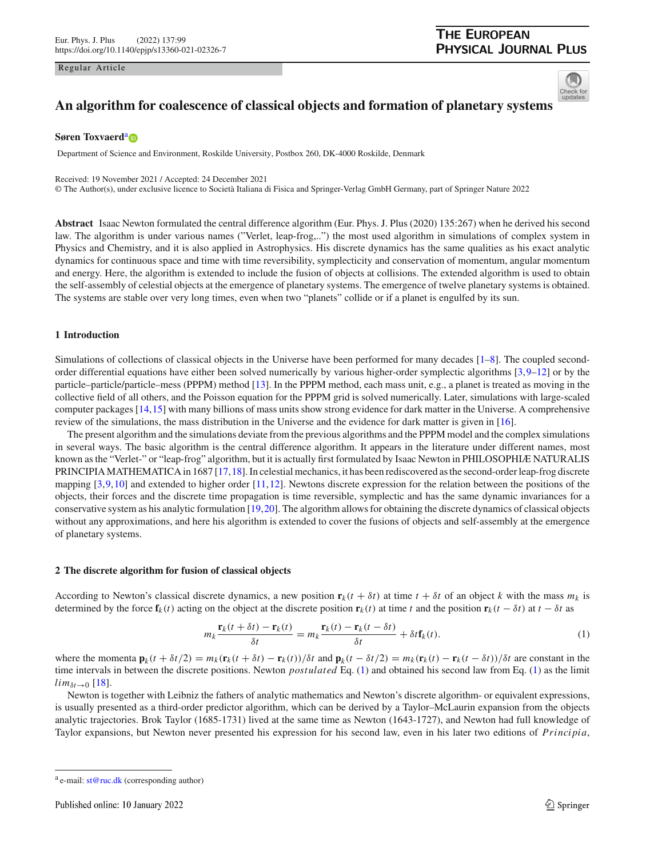#### Regular Article

## **THE EUROPEAN PHYSICAL JOURNAL PLUS**



# **An algorithm for coalescence of classical objects and formation of planetary systems**

## **Søren Toxv[a](http://orcid.org/0000-0002-0819-698X)erd**<sup>a</sup>

Department of Science and Environment, Roskilde University, Postbox 260, DK-4000 Roskilde, Denmark

Received: 19 November 2021 / Accepted: 24 December 2021

© The Author(s), under exclusive licence to Società Italiana di Fisica and Springer-Verlag GmbH Germany, part of Springer Nature 2022

**Abstract** Isaac Newton formulated the central difference algorithm (Eur. Phys. J. Plus (2020) 135:267) when he derived his second law. The algorithm is under various names ("Verlet, leap-frog,..") the most used algorithm in simulations of complex system in Physics and Chemistry, and it is also applied in Astrophysics. His discrete dynamics has the same qualities as his exact analytic dynamics for continuous space and time with time reversibility, symplecticity and conservation of momentum, angular momentum and energy. Here, the algorithm is extended to include the fusion of objects at collisions. The extended algorithm is used to obtain the self-assembly of celestial objects at the emergence of planetary systems. The emergence of twelve planetary systems is obtained. The systems are stable over very long times, even when two "planets" collide or if a planet is engulfed by its sun.

## **1 Introduction**

Simulations of collections of classical objects in the Universe have been performed for many decades [\[1](#page-7-0)[–8\]](#page-7-1). The coupled secondorder differential equations have either been solved numerically by various higher-order symplectic algorithms [\[3](#page-7-2)[,9](#page-7-3)[–12](#page-7-4)] or by the particle–particle/particle–mess (PPPM) method [\[13\]](#page-7-5). In the PPPM method, each mass unit, e.g., a planet is treated as moving in the collective field of all others, and the Poisson equation for the PPPM grid is solved numerically. Later, simulations with large-scaled computer packages [\[14,](#page-7-6)[15](#page-7-7)] with many billions of mass units show strong evidence for dark matter in the Universe. A comprehensive review of the simulations, the mass distribution in the Universe and the evidence for dark matter is given in [\[16\]](#page-7-8).

The present algorithm and the simulations deviate from the previous algorithms and the PPPM model and the complex simulations in several ways. The basic algorithm is the central difference algorithm. It appears in the literature under different names, most known as the "Verlet-" or "leap-frog" algorithm, but it is actually first formulated by Isaac Newton in PHILOSOPHIÆ NATURALIS PRINCIPIA MATHEMATICA in 1687 [\[17,](#page-7-9)[18](#page-7-10)]. In celestial mechanics, it has been rediscovered as the second-order leap-frog discrete mapping [\[3](#page-7-2),[9](#page-7-3)[,10\]](#page-7-11) and extended to higher order [\[11,](#page-7-12)[12](#page-7-4)]. Newtons discrete expression for the relation between the positions of the objects, their forces and the discrete time propagation is time reversible, symplectic and has the same dynamic invariances for a conservative system as his analytic formulation [\[19,](#page-7-13)[20](#page-7-14)]. The algorithm allows for obtaining the discrete dynamics of classical objects without any approximations, and here his algorithm is extended to cover the fusions of objects and self-assembly at the emergence of planetary systems.

## **2 The discrete algorithm for fusion of classical objects**

According to Newton's classical discrete dynamics, a new position  $\mathbf{r}_k(t + \delta t)$  at time  $t + \delta t$  of an object k with the mass  $m_k$  is determined by the force  $f_k(t)$  acting on the object at the discrete position  $r_k(t)$  at time t and the position  $r_k(t - \delta t)$  at  $t - \delta t$  as

<span id="page-0-0"></span>
$$
m_k \frac{\mathbf{r}_k(t + \delta t) - \mathbf{r}_k(t)}{\delta t} = m_k \frac{\mathbf{r}_k(t) - \mathbf{r}_k(t - \delta t)}{\delta t} + \delta t \mathbf{f}_k(t).
$$
 (1)

where the momenta  $\mathbf{p}_k(t + \delta t/2) = m_k(\mathbf{r}_k(t + \delta t) - \mathbf{r}_k(t))/\delta t$  and  $\mathbf{p}_k(t - \delta t/2) = m_k(\mathbf{r}_k(t) - \mathbf{r}_k(t - \delta t))/\delta t$  are constant in the time intervals in between the discrete positions. Newton *postulated* Eq. [\(1\)](#page-0-0) and obtained his second law from Eq. [\(1\)](#page-0-0) as the limit  $lim_{\delta t \to 0}$  [\[18\]](#page-7-10).

Newton is together with Leibniz the fathers of analytic mathematics and Newton's discrete algorithm- or equivalent expressions, is usually presented as a third-order predictor algorithm, which can be derived by a Taylor–McLaurin expansion from the objects analytic trajectories. Brok Taylor (1685-1731) lived at the same time as Newton (1643-1727), and Newton had full knowledge of Taylor expansions, but Newton never presented his expression for his second law, even in his later two editions of *Princi pia*,

a e-mail: [st@ruc.dk](mailto:st@ruc.dk) (corresponding author)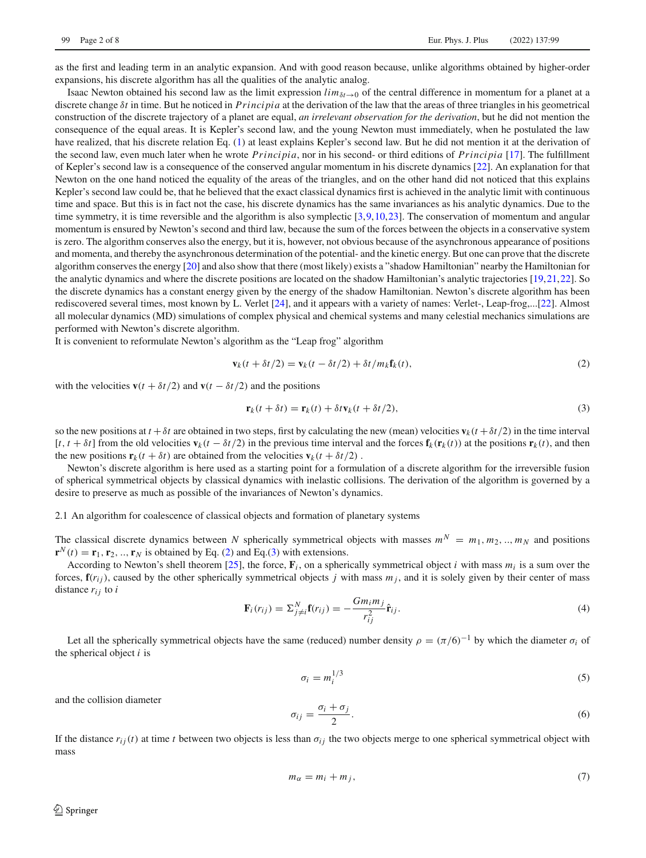as the first and leading term in an analytic expansion. And with good reason because, unlike algorithms obtained by higher-order expansions, his discrete algorithm has all the qualities of the analytic analog.

Isaac Newton obtained his second law as the limit expression  $lim_{\delta t\to 0}$  of the central difference in momentum for a planet at a discrete change δ*t* in time. But he noticed in *Princi pia* at the derivation of the law that the areas of three triangles in his geometrical construction of the discrete trajectory of a planet are equal, *an irrelevant observation for the derivation*, but he did not mention the consequence of the equal areas. It is Kepler's second law, and the young Newton must immediately, when he postulated the law have realized, that his discrete relation Eq. [\(1\)](#page-0-0) at least explains Kepler's second law. But he did not mention it at the derivation of the second law, even much later when he wrote *Princi pia*, nor in his second- or third editions of *Princi pia* [\[17](#page-7-9)]. The fulfillment of Kepler's second law is a consequence of the conserved angular momentum in his discrete dynamics [\[22](#page-7-15)]. An explanation for that Newton on the one hand noticed the equality of the areas of the triangles, and on the other hand did not noticed that this explains Kepler's second law could be, that he believed that the exact classical dynamics first is achieved in the analytic limit with continuous time and space. But this is in fact not the case, his discrete dynamics has the same invariances as his analytic dynamics. Due to the time symmetry, it is time reversible and the algorithm is also symplectic [\[3,](#page-7-2)[9,](#page-7-3)[10](#page-7-11)[,23\]](#page-7-16). The conservation of momentum and angular momentum is ensured by Newton's second and third law, because the sum of the forces between the objects in a conservative system is zero. The algorithm conserves also the energy, but it is, however, not obvious because of the asynchronous appearance of positions and momenta, and thereby the asynchronous determination of the potential- and the kinetic energy. But one can prove that the discrete algorithm conserves the energy [\[20](#page-7-14)] and also show that there (most likely) exists a "shadow Hamiltonian" nearby the Hamiltonian for the analytic dynamics and where the discrete positions are located on the shadow Hamiltonian's analytic trajectories [\[19](#page-7-13)[,21,](#page-7-17)[22](#page-7-15)]. So the discrete dynamics has a constant energy given by the energy of the shadow Hamiltonian. Newton's discrete algorithm has been rediscovered several times, most known by L. Verlet [\[24\]](#page-7-18), and it appears with a variety of names: Verlet-, Leap-frog,...[\[22](#page-7-15)]. Almost all molecular dynamics (MD) simulations of complex physical and chemical systems and many celestial mechanics simulations are performed with Newton's discrete algorithm.

It is convenient to reformulate Newton's algorithm as the "Leap frog" algorithm

<span id="page-1-0"></span>
$$
\mathbf{v}_k(t + \delta t/2) = \mathbf{v}_k(t - \delta t/2) + \delta t/m_k \mathbf{f}_k(t),
$$
\n(2)

with the velocities  $\mathbf{v}(t + \delta t/2)$  and  $\mathbf{v}(t - \delta t/2)$  and the positions

<span id="page-1-1"></span>
$$
\mathbf{r}_k(t + \delta t) = \mathbf{r}_k(t) + \delta t \mathbf{v}_k(t + \delta t/2),\tag{3}
$$

so the new positions at  $t + \delta t$  are obtained in two steps, first by calculating the new (mean) velocities  $\mathbf{v}_k(t + \delta t/2)$  in the time interval  $[t, t + \delta t]$  from the old velocities  $\mathbf{v}_k(t - \delta t/2)$  in the previous time interval and the forces  $\mathbf{f}_k(\mathbf{r}_k(t))$  at the positions  $\mathbf{r}_k(t)$ , and then the new positions  $\mathbf{r}_k(t + \delta t)$  are obtained from the velocities  $\mathbf{v}_k(t + \delta t/2)$ .

Newton's discrete algorithm is here used as a starting point for a formulation of a discrete algorithm for the irreversible fusion of spherical symmetrical objects by classical dynamics with inelastic collisions. The derivation of the algorithm is governed by a desire to preserve as much as possible of the invariances of Newton's dynamics.

2.1 An algorithm for coalescence of classical objects and formation of planetary systems

The classical discrete dynamics between *N* spherically symmetrical objects with masses  $m^N = m_1, m_2, ..., m_N$  and positions  $\mathbf{r}^N(t) = \mathbf{r}_1, \mathbf{r}_2, \dots, \mathbf{r}_N$  is obtained by Eq. [\(2\)](#page-1-0) and Eq.[\(3\)](#page-1-1) with extensions.

According to Newton's shell theorem [\[25](#page-7-19)], the force,  $\mathbf{F}_i$ , on a spherically symmetrical object *i* with mass  $m_i$  is a sum over the forces,  $f(r_{ij})$ , caused by the other spherically symmetrical objects *j* with mass  $m_j$ , and it is solely given by their center of mass distance  $r_{ij}$  to *i* 

<span id="page-1-2"></span>
$$
\mathbf{F}_i(r_{ij}) = \sum_{j \neq i}^N \mathbf{f}(r_{ij}) = -\frac{Gm_i m_j}{r_{ij}^2} \hat{\mathbf{r}}_{ij}.
$$
\n(4)

Let all the spherically symmetrical objects have the same (reduced) number density  $\rho = (\pi/6)^{-1}$  by which the diameter  $\sigma_i$  of the spherical object *i* is

$$
\sigma_i = m_i^{1/3} \tag{5}
$$

and the collision diameter

$$
\sigma_{ij} = \frac{\sigma_i + \sigma_j}{2}.\tag{6}
$$

If the distance  $r_{ij}(t)$  at time *t* between two objects is less than  $\sigma_{ij}$  the two objects merge to one spherical symmetrical object with mass

$$
m_{\alpha} = m_i + m_j,\tag{7}
$$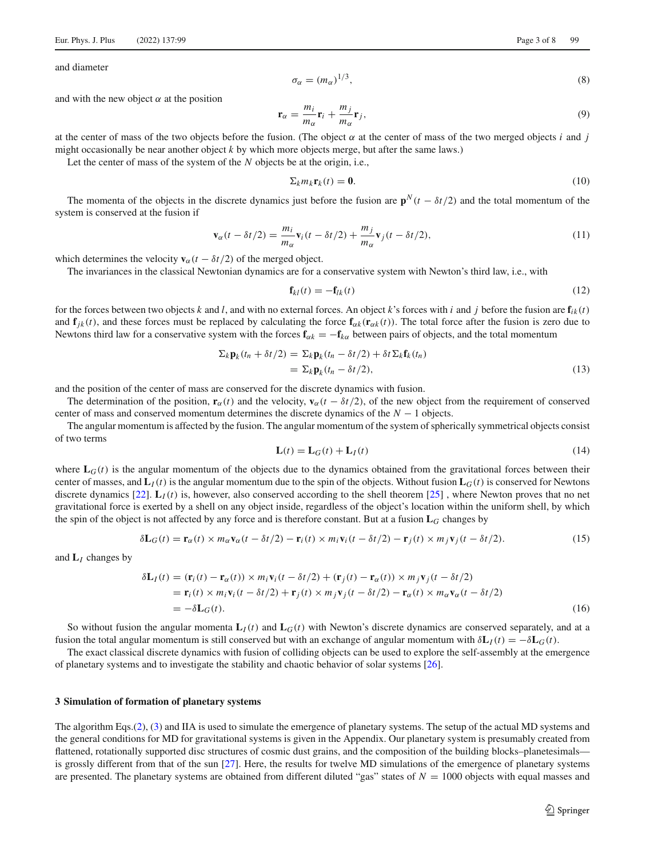and diameter

$$
\sigma_{\alpha} = (m_{\alpha})^{1/3},\tag{8}
$$

and with the new object  $\alpha$  at the position

$$
\mathbf{r}_{\alpha} = \frac{m_i}{m_{\alpha}} \mathbf{r}_i + \frac{m_j}{m_{\alpha}} \mathbf{r}_j,\tag{9}
$$

at the center of mass of the two objects before the fusion. (The object  $\alpha$  at the center of mass of the two merged objects *i* and *j* might occasionally be near another object *k* by which more objects merge, but after the same laws.)

Let the center of mass of the system of the *N* objects be at the origin, i.e.,

$$
\Sigma_k m_k \mathbf{r}_k(t) = \mathbf{0}.\tag{10}
$$

The momenta of the objects in the discrete dynamics just before the fusion are  $\mathbf{p}^N(t - \delta t/2)$  and the total momentum of the system is conserved at the fusion if

$$
\mathbf{v}_{\alpha}(t-\delta t/2) = \frac{m_i}{m_{\alpha}} \mathbf{v}_i(t-\delta t/2) + \frac{m_j}{m_{\alpha}} \mathbf{v}_j(t-\delta t/2),
$$
\n(11)

which determines the velocity  $\mathbf{v}_{\alpha}(t - \delta t/2)$  of the merged object.

The invariances in the classical Newtonian dynamics are for a conservative system with Newton's third law, i.e., with

$$
\mathbf{f}_{kl}(t) = -\mathbf{f}_{lk}(t) \tag{12}
$$

for the forces between two objects *k* and *l*, and with no external forces. An object *k*'s forces with *i* and *j* before the fusion are  $\mathbf{f}_{ik}(t)$ and  $f_{ik}(t)$ , and these forces must be replaced by calculating the force  $f_{\alpha k}(r_{\alpha k}(t))$ . The total force after the fusion is zero due to Newtons third law for a conservative system with the forces  $\mathbf{f}_{\alpha k} = -\mathbf{f}_{k\alpha}$  between pairs of objects, and the total momentum

$$
\Sigma_k \mathbf{p}_k(t_n + \delta t/2) = \Sigma_k \mathbf{p}_k(t_n - \delta t/2) + \delta t \Sigma_k \mathbf{f}_k(t_n)
$$
  
=  $\Sigma_k \mathbf{p}_k(t_n - \delta t/2),$  (13)

and the position of the center of mass are conserved for the discrete dynamics with fusion.

The determination of the position,  $\mathbf{r}_{\alpha}(t)$  and the velocity,  $\mathbf{v}_{\alpha}(t - \delta t/2)$ , of the new object from the requirement of conserved center of mass and conserved momentum determines the discrete dynamics of the *N* − 1 objects.

The angular momentum is affected by the fusion. The angular momentum of the system of spherically symmetrical objects consist of two terms

$$
\mathbf{L}(t) = \mathbf{L}_G(t) + \mathbf{L}_I(t) \tag{14}
$$

where  $L_G(t)$  is the angular momentum of the objects due to the dynamics obtained from the gravitational forces between their center of masses, and  $\mathbf{L}_I(t)$  is the angular momentum due to the spin of the objects. Without fusion  $\mathbf{L}_G(t)$  is conserved for Newtons discrete dynamics [\[22\]](#page-7-15). **L***I*(*t*) is, however, also conserved according to the shell theorem [\[25\]](#page-7-19) , where Newton proves that no net gravitational force is exerted by a shell on any object inside, regardless of the object's location within the uniform shell, by which the spin of the object is not affected by any force and is therefore constant. But at a fusion **L***<sup>G</sup>* changes by

$$
\delta \mathbf{L}_G(t) = \mathbf{r}_{\alpha}(t) \times m_{\alpha} \mathbf{v}_{\alpha}(t - \delta t/2) - \mathbf{r}_i(t) \times m_i \mathbf{v}_i(t - \delta t/2) - \mathbf{r}_j(t) \times m_j \mathbf{v}_j(t - \delta t/2). \tag{15}
$$

and **L***<sup>I</sup>* changes by

$$
\delta \mathbf{L}_I(t) = (\mathbf{r}_i(t) - \mathbf{r}_\alpha(t)) \times m_i \mathbf{v}_i(t - \delta t/2) + (\mathbf{r}_j(t) - \mathbf{r}_\alpha(t)) \times m_j \mathbf{v}_j(t - \delta t/2)
$$
  
=  $\mathbf{r}_i(t) \times m_i \mathbf{v}_i(t - \delta t/2) + \mathbf{r}_j(t) \times m_j \mathbf{v}_j(t - \delta t/2) - \mathbf{r}_\alpha(t) \times m_\alpha \mathbf{v}_\alpha(t - \delta t/2)$   
=  $-\delta \mathbf{L}_G(t)$ . (16)

So without fusion the angular momenta  $\mathbf{L}_I(t)$  and  $\mathbf{L}_G(t)$  with Newton's discrete dynamics are conserved separately, and at a fusion the total angular momentum is still conserved but with an exchange of angular momentum with δ**L***I*(*t*) = −δ**L***G*(*t*).

The exact classical discrete dynamics with fusion of colliding objects can be used to explore the self-assembly at the emergence of planetary systems and to investigate the stability and chaotic behavior of solar systems [\[26](#page-7-20)].

#### **3 Simulation of formation of planetary systems**

The algorithm Eqs.[\(2\)](#page-1-0), [\(3\)](#page-1-1) and IIA is used to simulate the emergence of planetary systems. The setup of the actual MD systems and the general conditions for MD for gravitational systems is given in the Appendix. Our planetary system is presumably created from flattened, rotationally supported disc structures of cosmic dust grains, and the composition of the building blocks–planetesimals– is grossly different from that of the sun [\[27\]](#page-7-21). Here, the results for twelve MD simulations of the emergence of planetary systems are presented. The planetary systems are obtained from different diluted "gas" states of  $N = 1000$  objects with equal masses and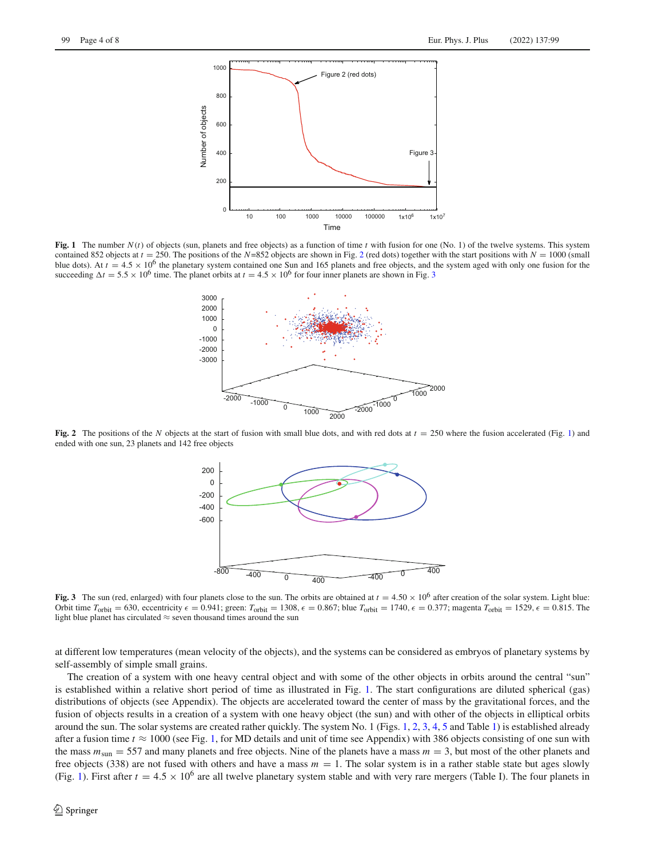

<span id="page-3-2"></span>**Fig. 1** The number *N*(*t*) of objects (sun, planets and free objects) as a function of time *t* with fusion for one (No. 1) of the twelve systems. This system contained 85[2](#page-3-0) objects at  $t = 250$ . The positions of the *N*=852 objects are shown in Fig. 2 (red dots) together with the start positions with  $N = 1000$  (small blue dots). At  $t = 4.5 \times 10^6$  the planetary system contained one Sun and 165 planets and free objects, and the system aged with only one fusion for the succeeding  $\Delta t = 5.5 \times 10^6$  time. The planet orbits at  $t = 4.5 \times 10^6$  for four inner planets are shown in Fig. [3](#page-3-1)



<span id="page-3-0"></span>**Fig. 2** The positions of the *N* objects at the start of fusion with small blue dots, and with red dots at  $t = 250$  where the fusion accelerated (Fig. [1\)](#page-3-2) and ended with one sun, 23 planets and 142 free objects



<span id="page-3-1"></span>**Fig. 3** The sun (red, enlarged) with four planets close to the sun. The orbits are obtained at  $t = 4.50 \times 10^6$  after creation of the solar system. Light blue: Orbit time  $T_{\text{orbit}} = 630$ , eccentricity  $\epsilon = 0.941$ ; green:  $T_{\text{orbit}} = 1308$ ,  $\epsilon = 0.867$ ; blue  $T_{\text{orbit}} = 1740$ ,  $\epsilon = 0.377$ ; magenta  $T_{\text{orbit}} = 1529$ ,  $\epsilon = 0.815$ . The light blue planet has circulated  $\approx$  seven thousand times around the sun

at different low temperatures (mean velocity of the objects), and the systems can be considered as embryos of planetary systems by self-assembly of simple small grains.

The creation of a system with one heavy central object and with some of the other objects in orbits around the central "sun" is established within a relative short period of time as illustrated in Fig. [1.](#page-3-2) The start configurations are diluted spherical (gas) distributions of objects (see Appendix). The objects are accelerated toward the center of mass by the gravitational forces, and the fusion of objects results in a creation of a system with one heavy object (the sun) and with other of the objects in elliptical orbits around the sun. The solar systems are created rather quickly. The system No. 1 (Figs. [1,](#page-3-2) [2,](#page-3-0) [3,](#page-3-1) [4,](#page-4-0) [5](#page-4-1) and Table [1\)](#page-5-0) is established already after a fusion time  $t \approx 1000$  (see Fig. [1,](#page-3-2) for MD details and unit of time see Appendix) with 386 objects consisting of one sun with the mass  $m_{\text{sun}} = 557$  and many planets and free objects. Nine of the planets have a mass  $m = 3$ , but most of the other planets and free objects (338) are not fused with others and have a mass  $m = 1$ . The solar system is in a rather stable state but ages slowly (Fig. [1\)](#page-3-2). First after  $t = 4.5 \times 10^6$  are all twelve planetary system stable and with very rare mergers (Table I). The four planets in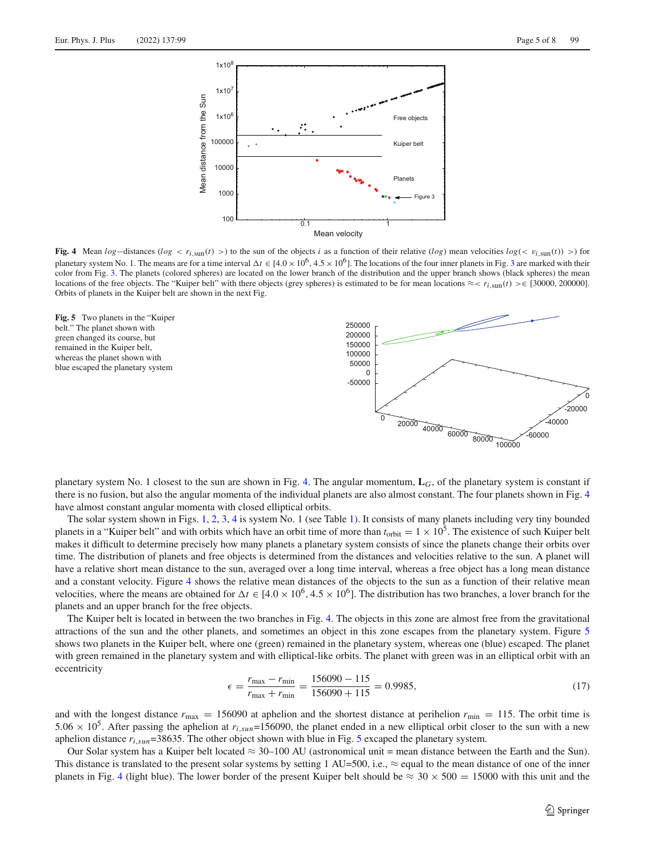

<span id="page-4-0"></span>**Fig. 4** Mean  $log$ −distances ( $log < r_i$ <sub>sun</sub>(*t*) >) to the sun of the objects *i* as a function of their relative ( $log$ ) mean velocities  $log(< v_i$ <sub>sun</sub>(*t*)) >) for planetary system No. 1. The means are for a time interval  $\Delta t \in [4.0 \times 10^6, 4.5 \times 10^6]$ . The locations of the four inner planets in Fig. [3](#page-3-1) are marked with their color from Fig. [3.](#page-3-1) The planets (colored spheres) are located on the lower branch of the distribution and the upper branch shows (black spheres) the mean locations of the free objects. The "Kuiper belt" with there objects (grey spheres) is estimated to be for mean locations ≈< *ri*,sun(*t*) >∈ [30000, 200000]. Orbits of planets in the Kuiper belt are shown in the next Fig.

<span id="page-4-1"></span>



planetary system No. 1 closest to the sun are shown in Fig. [4.](#page-4-0) The angular momentum, **L***G*, of the planetary system is constant if there is no fusion, but also the angular momenta of the individual planets are also almost constant. The four planets shown in Fig. [4](#page-4-0) have almost constant angular momenta with closed elliptical orbits.

The solar system shown in Figs. [1,](#page-3-2) [2,](#page-3-0) [3,](#page-3-1) [4](#page-4-0) is system No. 1 (see Table [1\)](#page-5-0). It consists of many planets including very tiny bounded planets in a "Kuiper belt" and with orbits which have an orbit time of more than  $t_{\rm orbit} = 1 \times 10^5$ . The existence of such Kuiper belt makes it difficult to determine precisely how many planets a planetary system consists of since the planets change their orbits over time. The distribution of planets and free objects is determined from the distances and velocities relative to the sun. A planet will have a relative short mean distance to the sun, averaged over a long time interval, whereas a free object has a long mean distance and a constant velocity. Figure [4](#page-4-0) shows the relative mean distances of the objects to the sun as a function of their relative mean velocities, where the means are obtained for  $\Delta t \in [4.0 \times 10^6, 4.5 \times 10^6]$ . The distribution has two branches, a lover branch for the planets and an upper branch for the free objects.

The Kuiper belt is located in between the two branches in Fig. [4.](#page-4-0) The objects in this zone are almost free from the gravitational attractions of the sun and the other planets, and sometimes an object in this zone escapes from the planetary system. Figure [5](#page-4-1) shows two planets in the Kuiper belt, where one (green) remained in the planetary system, whereas one (blue) escaped. The planet with green remained in the planetary system and with elliptical-like orbits. The planet with green was in an elliptical orbit with an eccentricity

$$
\epsilon = \frac{r_{\text{max}} - r_{\text{min}}}{r_{\text{max}} + r_{\text{min}}} = \frac{156090 - 115}{156090 + 115} = 0.9985,\tag{17}
$$

and with the longest distance  $r_{\text{max}} = 156090$  at aphelion and the shortest distance at perihelion  $r_{\text{min}} = 115$ . The orbit time is 5.06  $\times$  10<sup>5</sup>. After passing the aphelion at  $r_{i, sun}$ =156090, the planet ended in a new elliptical orbit closer to the sun with a new aphelion distance *ri*,*sun*=38635. The other object shown with blue in Fig. [5](#page-4-1) excaped the planetary system.

Our Solar system has a Kuiper belt located  $\approx$  30–100 AU (astronomical unit = mean distance between the Earth and the Sun). This distance is translated to the present solar systems by setting 1 AU=500, i.e.,  $\approx$  equal to the mean distance of one of the inner planets in Fig. [4](#page-4-0) (light blue). The lower border of the present Kuiper belt should be  $\approx 30 \times 500 = 15000$  with this unit and the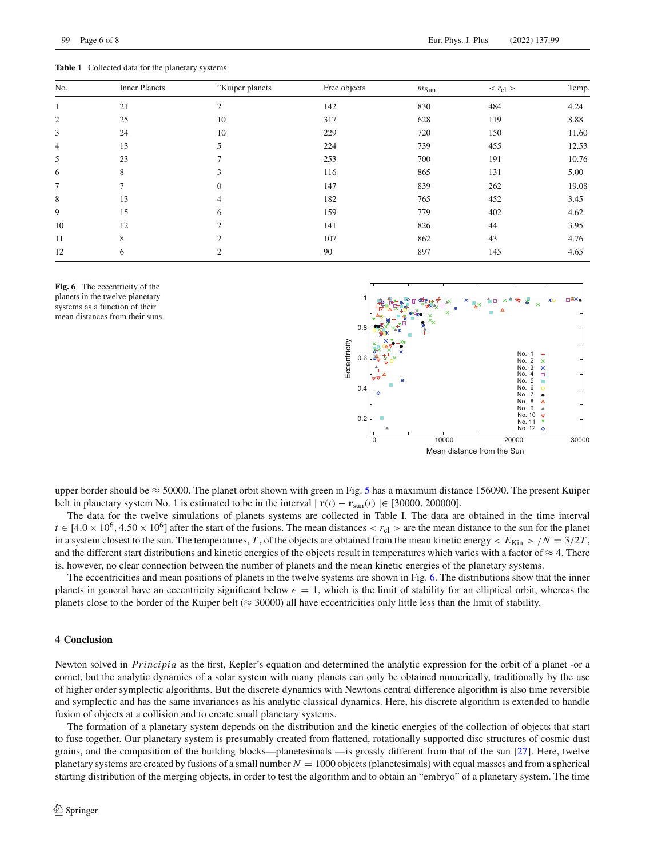<span id="page-5-0"></span>**Table 1** Collected data for the planetary systems

99 Page 6 of 8 Eur. Phys. J. Plus (2022) 137:99

| No.            | <b>Inner Planets</b> | "Kuiper planets | Free objects | $m_{\text{Sun}}$ | $r_{\rm cl}$ > | Temp  |
|----------------|----------------------|-----------------|--------------|------------------|----------------|-------|
|                | 21                   | $\overline{2}$  | 142          | 830              | 484            | 4.24  |
| 2              | 25                   | 10              | 317          | 628              | 119            | 8.88  |
| 3              | 24                   | 10              | 229          | 720              | 150            | 11.60 |
| $\overline{4}$ | 13                   | 5               | 224          | 739              | 455            | 12.53 |
| 5              | 23                   |                 | 253          | 700              | 191            | 10.76 |
| 6              | 8                    | 3               | 116          | 865              | 131            | 5.00  |
| 7              | $\mathcal{L}$        | $\Omega$        | 147          | 839              | 262            | 19.08 |
| 8              | 13                   | $\overline{4}$  | 182          | 765              | 452            | 3.45  |
| 9              | 15                   | 6               | 159          | 779              | 402            | 4.62  |
| 10             | 12                   | $\bigcirc$      | 141          | 826              | 44             | 3.95  |
| 11             | 8                    | $\overline{2}$  | 107          | 862              | 43             | 4.76  |
| 12             | 6                    | $\overline{c}$  | 90           | 897              | 145            | 4.65  |
|                |                      |                 |              |                  |                |       |

<span id="page-5-1"></span>



upper border should be  $\approx$  [5](#page-4-1)0000. The planet orbit shown with green in Fig. 5 has a maximum distance 156090. The present Kuiper belt in planetary system No. 1 is estimated to be in the interval  $|\mathbf{r}(t) - \mathbf{r}_{\text{sun}}(t)| \in [30000, 200000]$ .

The data for the twelve simulations of planets systems are collected in Table I. The data are obtained in the time interval  $t \in [4.0 \times 10^6, 4.50 \times 10^6]$  after the start of the fusions. The mean distances  $\langle r_c \rangle$   $>$  are the mean distance to the sun for the planet in a system closest to the sun. The temperatures, *T*, of the objects are obtained from the mean kinetic energy  $\lt E_{\text{Kin}} > /N = 3/2T$ , and the different start distributions and kinetic energies of the objects result in temperatures which varies with a factor of  $\approx 4$ . There is, however, no clear connection between the number of planets and the mean kinetic energies of the planetary systems.

The eccentricities and mean positions of planets in the twelve systems are shown in Fig. [6.](#page-5-1) The distributions show that the inner planets in general have an eccentricity significant below  $\epsilon = 1$ , which is the limit of stability for an elliptical orbit, whereas the planets close to the border of the Kuiper belt ( $\approx$  30000) all have eccentricities only little less than the limit of stability.

### **4 Conclusion**

Newton solved in *Principia* as the first, Kepler's equation and determined the analytic expression for the orbit of a planet -or a comet, but the analytic dynamics of a solar system with many planets can only be obtained numerically, traditionally by the use of higher order symplectic algorithms. But the discrete dynamics with Newtons central difference algorithm is also time reversible and symplectic and has the same invariances as his analytic classical dynamics. Here, his discrete algorithm is extended to handle fusion of objects at a collision and to create small planetary systems.

The formation of a planetary system depends on the distribution and the kinetic energies of the collection of objects that start to fuse together. Our planetary system is presumably created from flattened, rotationally supported disc structures of cosmic dust grains, and the composition of the building blocks—planetesimals —is grossly different from that of the sun [\[27\]](#page-7-21). Here, twelve planetary systems are created by fusions of a small number *N* = 1000 objects (planetesimals) with equal masses and from a spherical starting distribution of the merging objects, in order to test the algorithm and to obtain an "embryo" of a planetary system. The time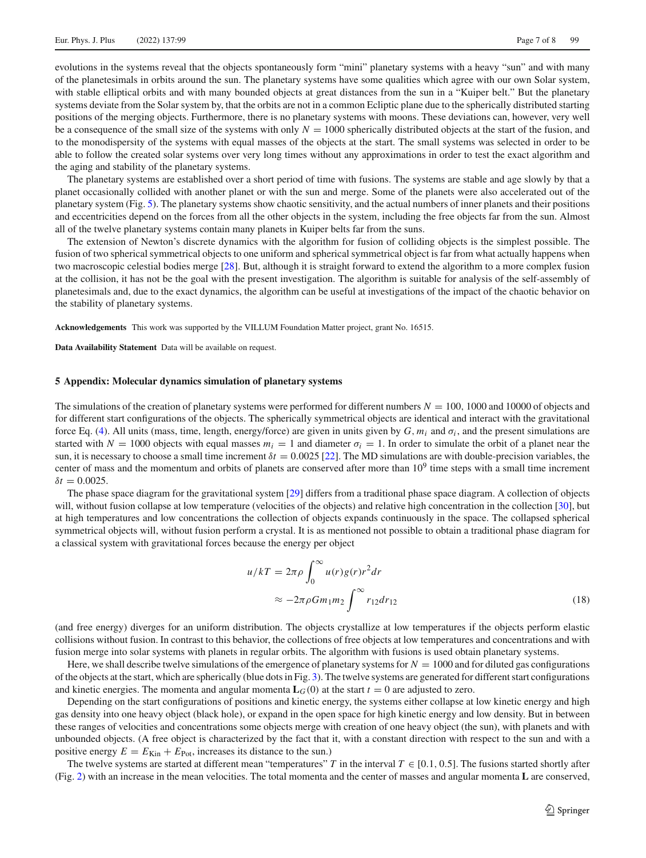evolutions in the systems reveal that the objects spontaneously form "mini" planetary systems with a heavy "sun" and with many of the planetesimals in orbits around the sun. The planetary systems have some qualities which agree with our own Solar system, with stable elliptical orbits and with many bounded objects at great distances from the sun in a "Kuiper belt." But the planetary systems deviate from the Solar system by, that the orbits are not in a common Ecliptic plane due to the spherically distributed starting positions of the merging objects. Furthermore, there is no planetary systems with moons. These deviations can, however, very well be a consequence of the small size of the systems with only  $N = 1000$  spherically distributed objects at the start of the fusion, and to the monodispersity of the systems with equal masses of the objects at the start. The small systems was selected in order to be able to follow the created solar systems over very long times without any approximations in order to test the exact algorithm and the aging and stability of the planetary systems.

The planetary systems are established over a short period of time with fusions. The systems are stable and age slowly by that a planet occasionally collided with another planet or with the sun and merge. Some of the planets were also accelerated out of the planetary system (Fig. [5\)](#page-4-1). The planetary systems show chaotic sensitivity, and the actual numbers of inner planets and their positions and eccentricities depend on the forces from all the other objects in the system, including the free objects far from the sun. Almost all of the twelve planetary systems contain many planets in Kuiper belts far from the suns.

The extension of Newton's discrete dynamics with the algorithm for fusion of colliding objects is the simplest possible. The fusion of two spherical symmetrical objects to one uniform and spherical symmetrical object is far from what actually happens when two macroscopic celestial bodies merge [\[28](#page-7-22)]. But, although it is straight forward to extend the algorithm to a more complex fusion at the collision, it has not be the goal with the present investigation. The algorithm is suitable for analysis of the self-assembly of planetesimals and, due to the exact dynamics, the algorithm can be useful at investigations of the impact of the chaotic behavior on the stability of planetary systems.

**Acknowledgements** This work was supported by the VILLUM Foundation Matter project, grant No. 16515.

**Data Availability Statement** Data will be available on request.

## **5 Appendix: Molecular dynamics simulation of planetary systems**

The simulations of the creation of planetary systems were performed for different numbers  $N = 100$ , 1000 and 10000 of objects and for different start configurations of the objects. The spherically symmetrical objects are identical and interact with the gravitational force Eq. [\(4\)](#page-1-2). All units (mass, time, length, energy/force) are given in units given by  $G, m_i$  and  $\sigma_i$ , and the present simulations are started with  $N = 1000$  objects with equal masses  $m_i = 1$  and diameter  $\sigma_i = 1$ . In order to simulate the orbit of a planet near the sun, it is necessary to choose a small time increment  $\delta t = 0.0025$  [\[22](#page-7-15)]. The MD simulations are with double-precision variables, the center of mass and the momentum and orbits of planets are conserved after more than  $10<sup>9</sup>$  time steps with a small time increment  $\delta t = 0.0025$ .

The phase space diagram for the gravitational system [\[29\]](#page-7-23) differs from a traditional phase space diagram. A collection of objects will, without fusion collapse at low temperature (velocities of the objects) and relative high concentration in the collection [\[30](#page-7-24)], but at high temperatures and low concentrations the collection of objects expands continuously in the space. The collapsed spherical symmetrical objects will, without fusion perform a crystal. It is as mentioned not possible to obtain a traditional phase diagram for a classical system with gravitational forces because the energy per object

$$
u/kT = 2\pi \rho \int_0^\infty u(r)g(r)r^2 dr
$$
  

$$
\approx -2\pi \rho G m_1 m_2 \int_0^\infty r_1 2 dr_1 2
$$
 (18)

(and free energy) diverges for an uniform distribution. The objects crystallize at low temperatures if the objects perform elastic collisions without fusion. In contrast to this behavior, the collections of free objects at low temperatures and concentrations and with fusion merge into solar systems with planets in regular orbits. The algorithm with fusions is used obtain planetary systems.

Here, we shall describe twelve simulations of the emergence of planetary systems for  $N = 1000$  and for diluted gas configurations of the objects at the start, which are spherically (blue dots in Fig. [3\)](#page-3-1). The twelve systems are generated for different start configurations and kinetic energies. The momenta and angular momenta  $\mathbf{L}_G(0)$  at the start  $t = 0$  are adjusted to zero.

Depending on the start configurations of positions and kinetic energy, the systems either collapse at low kinetic energy and high gas density into one heavy object (black hole), or expand in the open space for high kinetic energy and low density. But in between these ranges of velocities and concentrations some objects merge with creation of one heavy object (the sun), with planets and with unbounded objects. (A free object is characterized by the fact that it, with a constant direction with respect to the sun and with a positive energy  $E = E_{\text{Kin}} + E_{\text{Pot}}$ , increases its distance to the sun.)

The twelve systems are started at different mean "temperatures" *T* in the interval  $T \in [0.1, 0.5]$ . The fusions started shortly after (Fig. [2\)](#page-3-0) with an increase in the mean velocities. The total momenta and the center of masses and angular momenta **L** are conserved,